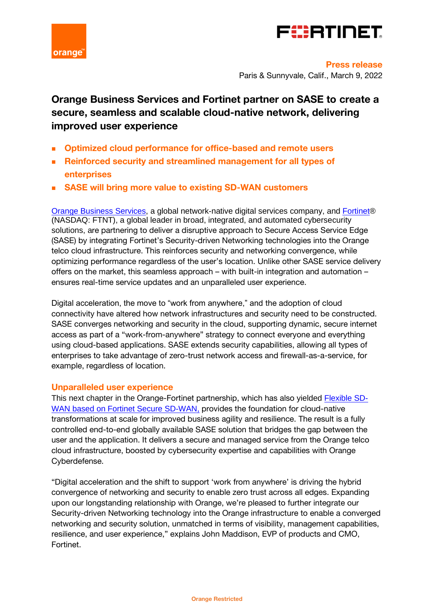



**Press release** Paris & Sunnyvale, Calif., March 9, 2022

**Orange Business Services and Fortinet partner on SASE to create a secure, seamless and scalable cloud-native network, delivering improved user experience**

- Optimized cloud performance for office-based and remote users
- **Reinforced security and streamlined management for all types of enterprises**
- **SASE will bring more value to existing SD-WAN customers**

[Orange Business Services,](https://www.orange-business.com/en) a global network-native digital services company, and [Fortinet®](https://www.fortinet.com/) (NASDAQ: FTNT), a global leader in broad, integrated, and automated cybersecurity solutions, are partnering to deliver a disruptive approach to Secure Access Service Edge (SASE) by integrating Fortinet's Security-driven Networking technologies into the Orange telco cloud infrastructure. This reinforces security and networking convergence, while optimizing performance regardless of the user's location. Unlike other SASE service delivery offers on the market, this seamless approach – with built-in integration and automation – ensures real-time service updates and an unparalleled user experience.

Digital acceleration, the move to "work from anywhere," and the adoption of cloud connectivity have altered how network infrastructures and security need to be constructed. SASE converges networking and security in the cloud, supporting dynamic, secure internet access as part of a "work-from-anywhere" strategy to connect everyone and everything using cloud-based applications. SASE extends security capabilities, allowing all types of enterprises to take advantage of zero-trust network access and firewall-as-a-service, for example, regardless of location.

# **Unparalleled user experience**

This next chapter in the Orange-Fortinet partnership, which has also yielded [Flexible SD-](https://www.orange-business.com/en/press/orange-business-services-chooses-fortinet-secure-sd-wan-expand-its-flexible-sd-wan-portfolio)WAN based on [Fortinet Secure SD-WAN,](https://www.orange-business.com/en/press/orange-business-services-chooses-fortinet-secure-sd-wan-expand-its-flexible-sd-wan-portfolio) provides the foundation for cloud-native transformations at scale for improved business agility and resilience. The result is a fully controlled end-to-end globally available SASE solution that bridges the gap between the user and the application. It delivers a secure and managed service from the Orange telco cloud infrastructure, boosted by cybersecurity expertise and capabilities with Orange Cyberdefense.

"Digital acceleration and the shift to support 'work from anywhere' is driving the hybrid convergence of networking and security to enable zero trust across all edges. Expanding upon our longstanding relationship with Orange, we're pleased to further integrate our Security-driven Networking technology into the Orange infrastructure to enable a converged networking and security solution, unmatched in terms of visibility, management capabilities, resilience, and user experience," explains John Maddison, EVP of products and CMO, Fortinet.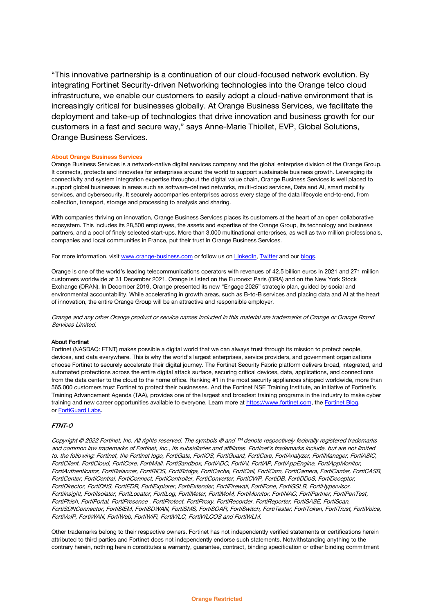"This innovative partnership is a continuation of our cloud-focused network evolution. By integrating Fortinet Security-driven Networking technologies into the Orange telco cloud infrastructure, we enable our customers to easily adopt a cloud-native environment that is increasingly critical for businesses globally. At Orange Business Services, we facilitate the deployment and take-up of technologies that drive innovation and business growth for our customers in a fast and secure way," says Anne-Marie Thiollet, EVP, Global Solutions, Orange Business Services.

#### **About Orange Business Services**

Orange Business Services is a network-native digital services company and the global enterprise division of the Orange Group. It connects, protects and innovates for enterprises around the world to support sustainable business growth. Leveraging its connectivity and system integration expertise throughout the digital value chain, Orange Business Services is well placed to support global businesses in areas such as software-defined networks, multi-cloud services, Data and AI, smart mobility services, and cybersecurity. It securely accompanies enterprises across every stage of the data lifecycle end-to-end, from collection, transport, storage and processing to analysis and sharing.

With companies thriving on innovation, Orange Business Services places its customers at the heart of an open collaborative ecosystem. This includes its 28,500 employees, the assets and expertise of the Orange Group, its technology and business partners, and a pool of finely selected start-ups. More than 3,000 multinational enterprises, as well as two million professionals, companies and local communities in France, put their trust in Orange Business Services.

For more information, visit [www.orange-business.com](http://www.orange-business.com/) or follow us on [LinkedIn,](https://www.linkedin.com/company/orange-business-services) [Twitter](https://twitter.com/orangebusiness) and our [blogs.](http://www.orange-business.com/en/blogs)

Orange is one of the world's leading telecommunications operators with revenues of 42.5 billion euros in 2021 and 271 million customers worldwide at 31 December 2021. Orange is listed on the Euronext Paris (ORA) and on the New York Stock Exchange (ORAN). In December 2019, Orange presented its new "Engage 2025" strategic plan, guided by social and environmental accountability. While accelerating in growth areas, such as B-to-B services and placing data and AI at the heart of innovation, the entire Orange Group will be an attractive and responsible employer.

Orange and any other Orange product or service names included in this material are trademarks of Orange or Orange Brand Services Limited.

#### About Fortinet

Fortinet (NASDAQ: FTNT) makes possible a digital world that we can always trust through its mission to protect people, devices, and data everywhere. This is why the world's largest enterprises, service providers, and government organizations choose Fortinet to securely accelerate their digital journey. The Fortinet Security Fabric platform delivers broad, integrated, and automated protections across the entire digital attack surface, securing critical devices, data, applications, and connections from the data center to the cloud to the home office. Ranking #1 in the most security appliances shipped worldwide, more than 565,000 customers trust Fortinet to protect their businesses. And the Fortinet NSE Training Institute, an initiative of Fortinet's Training Advancement Agenda (TAA), provides one of the largest and broadest training programs in the industry to make cyber training and new career opportunities available to everyone. Learn more at [https://www.fortinet.com,](https://www.fortinet.com/?utm_source=pr&utm_campaign=fortinet) the Fortinet Blog, or [FortiGuard Labs.](https://www.fortinet.com/fortiguard/labs?utm_source=pr&utm_campaign=FortiGuardLabs)

### FTNT-O

Copyright © 2022 Fortinet, Inc. All rights reserved. The symbols ® and ™ denote respectively federally registered trademarks and common law trademarks of Fortinet, Inc., its subsidiaries and affiliates. Fortinet's trademarks include, but are not limited to, the following: Fortinet, the Fortinet logo, FortiGate, FortiOS, FortiGuard, FortiCare, FortiAnalyzer, FortiManager, FortiASIC, FortiClient, FortiCloud, FortiCore, FortiMail, FortiSandbox, FortiADC, FortiAI, FortiAP, FortiAppEngine, FortiAppMonitor, FortiAuthenticator, FortiBalancer, FortiBIOS, FortiBridge, FortiCache, FortiCall, FortiCam, FortiCamera, FortiCarrier, FortiCASB, FortiCenter, FortiCentral, FortiConnect, FortiController, FortiConverter, FortiCWP, FortiDB, FortiDDoS, FortiDeceptor, FortiDirector, FortiDNS, FortiEDR, FortiExplorer, FortiExtender, FortiFirewall, FortiFone, FortiGSLB, FortiHypervisor, FortiInsight, FortiIsolator, FortiLocator, FortiLog, FortiMeter, FortiMoM, FortiMonitor, FortiNAC, FortiPartner, FortiPenTest, FortiPhish, FortiPortal, FortiPresence , FortiProtect, FortiProxy, FortiRecorder, FortiReporter, FortiSASE, FortiScan, FortiSDNConnector, FortiSIEM, FortiSDWAN, FortiSMS, FortiSOAR, FortiSwitch, FortiTester, FortiToken, FortiTrust, FortiVoice, FortiVoIP, FortiWAN, FortiWeb, FortiWiFi, FortiWLC, FortiWLCOS and FortiWLM.

Other trademarks belong to their respective owners. Fortinet has not independently verified statements or certifications herein attributed to third parties and Fortinet does not independently endorse such statements. Notwithstanding anything to the contrary herein, nothing herein constitutes a warranty, guarantee, contract, binding specification or other binding commitment